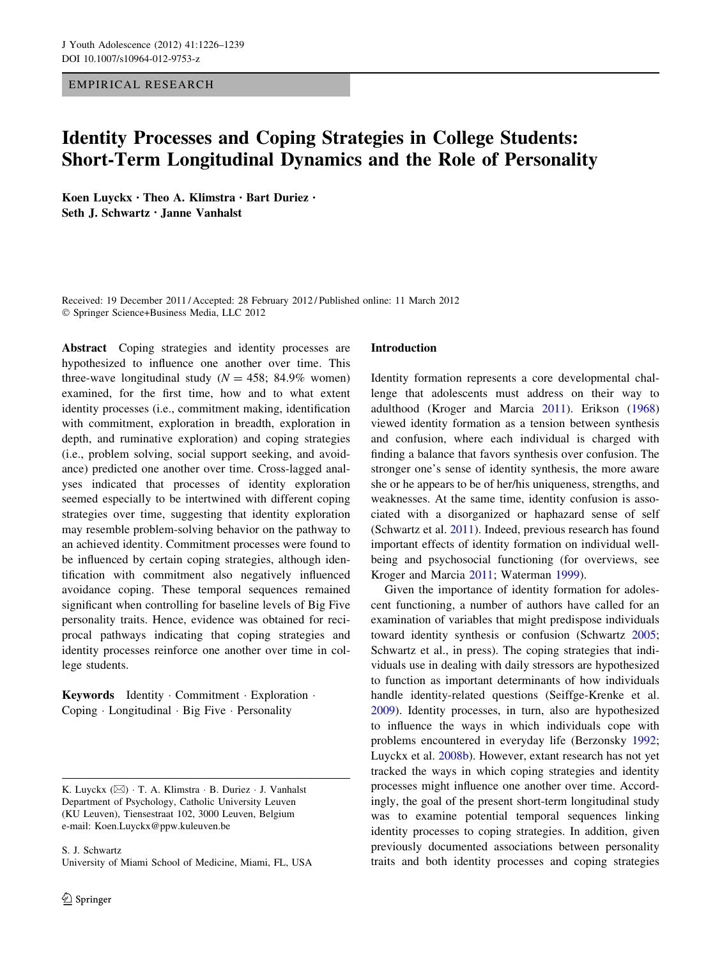# EMPIRICAL RESEARCH

# Identity Processes and Coping Strategies in College Students: Short-Term Longitudinal Dynamics and the Role of Personality

Koen Luyckx • Theo A. Klimstra • Bart Duriez • Seth J. Schwartz • Janne Vanhalst

Received: 19 December 2011 / Accepted: 28 February 2012 / Published online: 11 March 2012 - Springer Science+Business Media, LLC 2012

Abstract Coping strategies and identity processes are hypothesized to influence one another over time. This three-wave longitudinal study ( $N = 458$ ; 84.9% women) examined, for the first time, how and to what extent identity processes (i.e., commitment making, identification with commitment, exploration in breadth, exploration in depth, and ruminative exploration) and coping strategies (i.e., problem solving, social support seeking, and avoidance) predicted one another over time. Cross-lagged analyses indicated that processes of identity exploration seemed especially to be intertwined with different coping strategies over time, suggesting that identity exploration may resemble problem-solving behavior on the pathway to an achieved identity. Commitment processes were found to be influenced by certain coping strategies, although identification with commitment also negatively influenced avoidance coping. These temporal sequences remained significant when controlling for baseline levels of Big Five personality traits. Hence, evidence was obtained for reciprocal pathways indicating that coping strategies and identity processes reinforce one another over time in college students.

Keywords Identity - Commitment - Exploration - Coping - Longitudinal - Big Five - Personality

S. J. Schwartz University of Miami School of Medicine, Miami, FL, USA

# Introduction

Identity formation represents a core developmental challenge that adolescents must address on their way to adulthood (Kroger and Marcia [2011](#page-12-0)). Erikson ([1968\)](#page-11-0) viewed identity formation as a tension between synthesis and confusion, where each individual is charged with finding a balance that favors synthesis over confusion. The stronger one's sense of identity synthesis, the more aware she or he appears to be of her/his uniqueness, strengths, and weaknesses. At the same time, identity confusion is associated with a disorganized or haphazard sense of self (Schwartz et al. [2011](#page-12-0)). Indeed, previous research has found important effects of identity formation on individual wellbeing and psychosocial functioning (for overviews, see Kroger and Marcia [2011](#page-12-0); Waterman [1999](#page-13-0)).

Given the importance of identity formation for adolescent functioning, a number of authors have called for an examination of variables that might predispose individuals toward identity synthesis or confusion (Schwartz [2005](#page-12-0); Schwartz et al., in press). The coping strategies that individuals use in dealing with daily stressors are hypothesized to function as important determinants of how individuals handle identity-related questions (Seiffge-Krenke et al. [2009](#page-12-0)). Identity processes, in turn, also are hypothesized to influence the ways in which individuals cope with problems encountered in everyday life (Berzonsky [1992](#page-11-0); Luyckx et al. [2008b\)](#page-12-0). However, extant research has not yet tracked the ways in which coping strategies and identity processes might influence one another over time. Accordingly, the goal of the present short-term longitudinal study was to examine potential temporal sequences linking identity processes to coping strategies. In addition, given previously documented associations between personality traits and both identity processes and coping strategies

K. Luyckx (⊠) · T. A. Klimstra · B. Duriez · J. Vanhalst Department of Psychology, Catholic University Leuven (KU Leuven), Tiensestraat 102, 3000 Leuven, Belgium e-mail: Koen.Luyckx@ppw.kuleuven.be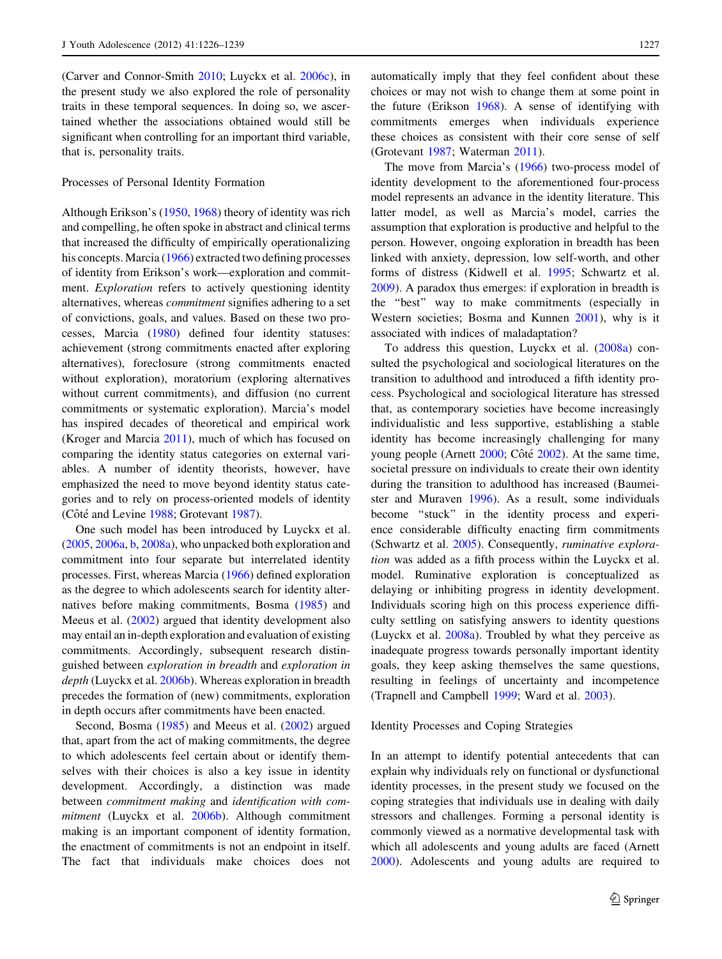(Carver and Connor-Smith [2010;](#page-11-0) Luyckx et al. [2006c](#page-12-0)), in the present study we also explored the role of personality traits in these temporal sequences. In doing so, we ascertained whether the associations obtained would still be significant when controlling for an important third variable, that is, personality traits.

#### Processes of Personal Identity Formation

Although Erikson's ([1950,](#page-11-0) [1968](#page-11-0)) theory of identity was rich and compelling, he often spoke in abstract and clinical terms that increased the difficulty of empirically operationalizing his concepts. Marcia ([1966\)](#page-12-0) extracted two defining processes of identity from Erikson's work—exploration and commitment. *Exploration* refers to actively questioning identity alternatives, whereas commitment signifies adhering to a set of convictions, goals, and values. Based on these two processes, Marcia [\(1980](#page-12-0)) defined four identity statuses: achievement (strong commitments enacted after exploring alternatives), foreclosure (strong commitments enacted without exploration), moratorium (exploring alternatives without current commitments), and diffusion (no current commitments or systematic exploration). Marcia's model has inspired decades of theoretical and empirical work (Kroger and Marcia [2011\)](#page-12-0), much of which has focused on comparing the identity status categories on external variables. A number of identity theorists, however, have emphasized the need to move beyond identity status categories and to rely on process-oriented models of identity (Côté and Levine [1988](#page-11-0); Grotevant [1987\)](#page-11-0).

One such model has been introduced by Luyckx et al. [\(2005](#page-12-0), [2006a](#page-12-0), [b](#page-12-0), [2008a\)](#page-12-0), who unpacked both exploration and commitment into four separate but interrelated identity processes. First, whereas Marcia [\(1966](#page-12-0)) defined exploration as the degree to which adolescents search for identity alternatives before making commitments, Bosma ([1985\)](#page-11-0) and Meeus et al. [\(2002](#page-12-0)) argued that identity development also may entail an in-depth exploration and evaluation of existing commitments. Accordingly, subsequent research distinguished between exploration in breadth and exploration in depth (Luyckx et al. [2006b\)](#page-12-0). Whereas exploration in breadth precedes the formation of (new) commitments, exploration in depth occurs after commitments have been enacted.

Second, Bosma [\(1985](#page-11-0)) and Meeus et al. [\(2002](#page-12-0)) argued that, apart from the act of making commitments, the degree to which adolescents feel certain about or identify themselves with their choices is also a key issue in identity development. Accordingly, a distinction was made between commitment making and identification with com-mitment (Luyckx et al. [2006b\)](#page-12-0). Although commitment making is an important component of identity formation, the enactment of commitments is not an endpoint in itself. The fact that individuals make choices does not

automatically imply that they feel confident about these choices or may not wish to change them at some point in the future (Erikson [1968\)](#page-11-0). A sense of identifying with commitments emerges when individuals experience these choices as consistent with their core sense of self (Grotevant [1987;](#page-11-0) Waterman [2011](#page-13-0)).

The move from Marcia's [\(1966](#page-12-0)) two-process model of identity development to the aforementioned four-process model represents an advance in the identity literature. This latter model, as well as Marcia's model, carries the assumption that exploration is productive and helpful to the person. However, ongoing exploration in breadth has been linked with anxiety, depression, low self-worth, and other forms of distress (Kidwell et al. [1995;](#page-11-0) Schwartz et al. [2009](#page-12-0)). A paradox thus emerges: if exploration in breadth is the ''best'' way to make commitments (especially in Western societies; Bosma and Kunnen [2001\)](#page-11-0), why is it associated with indices of maladaptation?

To address this question, Luyckx et al. ([2008a](#page-12-0)) consulted the psychological and sociological literatures on the transition to adulthood and introduced a fifth identity process. Psychological and sociological literature has stressed that, as contemporary societies have become increasingly individualistic and less supportive, establishing a stable identity has become increasingly challenging for many young people (Arnett [2000;](#page-11-0) Côté [2002](#page-11-0)). At the same time, societal pressure on individuals to create their own identity during the transition to adulthood has increased (Baumeister and Muraven [1996\)](#page-11-0). As a result, some individuals become "stuck" in the identity process and experience considerable difficulty enacting firm commitments (Schwartz et al. [2005\)](#page-12-0). Consequently, ruminative exploration was added as a fifth process within the Luyckx et al. model. Ruminative exploration is conceptualized as delaying or inhibiting progress in identity development. Individuals scoring high on this process experience difficulty settling on satisfying answers to identity questions (Luyckx et al. [2008a\)](#page-12-0). Troubled by what they perceive as inadequate progress towards personally important identity goals, they keep asking themselves the same questions, resulting in feelings of uncertainty and incompetence (Trapnell and Campbell [1999;](#page-12-0) Ward et al. [2003](#page-12-0)).

# Identity Processes and Coping Strategies

In an attempt to identify potential antecedents that can explain why individuals rely on functional or dysfunctional identity processes, in the present study we focused on the coping strategies that individuals use in dealing with daily stressors and challenges. Forming a personal identity is commonly viewed as a normative developmental task with which all adolescents and young adults are faced (Arnett [2000](#page-11-0)). Adolescents and young adults are required to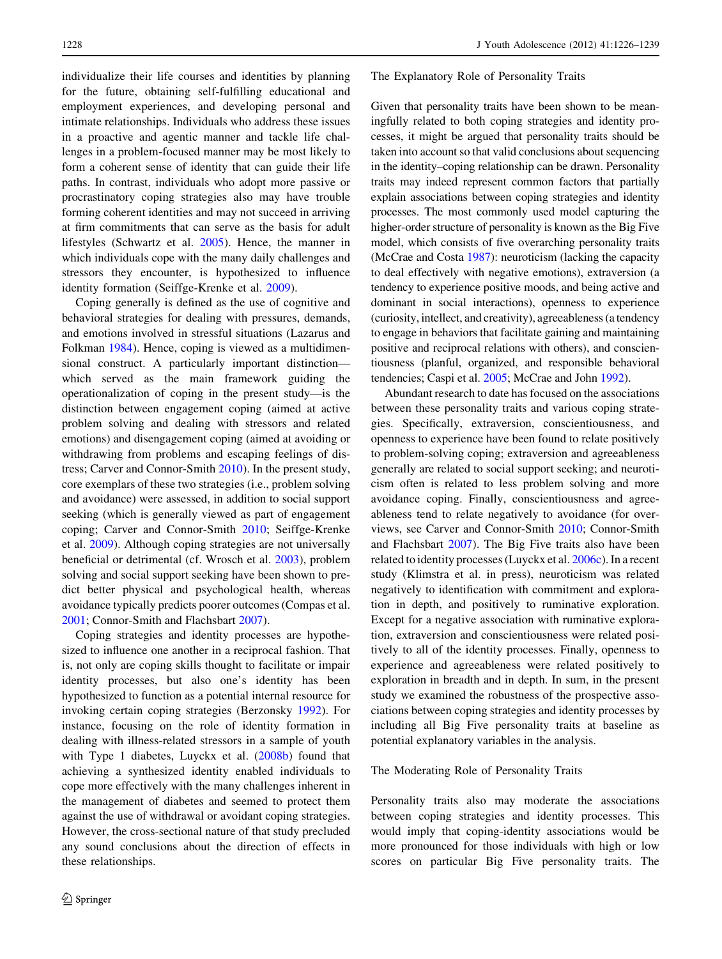individualize their life courses and identities by planning for the future, obtaining self-fulfilling educational and employment experiences, and developing personal and intimate relationships. Individuals who address these issues in a proactive and agentic manner and tackle life challenges in a problem-focused manner may be most likely to form a coherent sense of identity that can guide their life paths. In contrast, individuals who adopt more passive or procrastinatory coping strategies also may have trouble forming coherent identities and may not succeed in arriving at firm commitments that can serve as the basis for adult lifestyles (Schwartz et al. [2005\)](#page-12-0). Hence, the manner in which individuals cope with the many daily challenges and stressors they encounter, is hypothesized to influence identity formation (Seiffge-Krenke et al. [2009\)](#page-12-0).

Coping generally is defined as the use of cognitive and behavioral strategies for dealing with pressures, demands, and emotions involved in stressful situations (Lazarus and Folkman [1984](#page-12-0)). Hence, coping is viewed as a multidimensional construct. A particularly important distinction which served as the main framework guiding the operationalization of coping in the present study—is the distinction between engagement coping (aimed at active problem solving and dealing with stressors and related emotions) and disengagement coping (aimed at avoiding or withdrawing from problems and escaping feelings of distress; Carver and Connor-Smith [2010](#page-11-0)). In the present study, core exemplars of these two strategies (i.e., problem solving and avoidance) were assessed, in addition to social support seeking (which is generally viewed as part of engagement coping; Carver and Connor-Smith [2010;](#page-11-0) Seiffge-Krenke et al. [2009\)](#page-12-0). Although coping strategies are not universally beneficial or detrimental (cf. Wrosch et al. [2003\)](#page-13-0), problem solving and social support seeking have been shown to predict better physical and psychological health, whereas avoidance typically predicts poorer outcomes (Compas et al. [2001;](#page-11-0) Connor-Smith and Flachsbart [2007](#page-11-0)).

Coping strategies and identity processes are hypothesized to influence one another in a reciprocal fashion. That is, not only are coping skills thought to facilitate or impair identity processes, but also one's identity has been hypothesized to function as a potential internal resource for invoking certain coping strategies (Berzonsky [1992](#page-11-0)). For instance, focusing on the role of identity formation in dealing with illness-related stressors in a sample of youth with Type 1 diabetes, Luyckx et al. [\(2008b](#page-12-0)) found that achieving a synthesized identity enabled individuals to cope more effectively with the many challenges inherent in the management of diabetes and seemed to protect them against the use of withdrawal or avoidant coping strategies. However, the cross-sectional nature of that study precluded any sound conclusions about the direction of effects in these relationships.

#### The Explanatory Role of Personality Traits

Given that personality traits have been shown to be meaningfully related to both coping strategies and identity processes, it might be argued that personality traits should be taken into account so that valid conclusions about sequencing in the identity–coping relationship can be drawn. Personality traits may indeed represent common factors that partially explain associations between coping strategies and identity processes. The most commonly used model capturing the higher-order structure of personality is known as the Big Five model, which consists of five overarching personality traits (McCrae and Costa [1987\)](#page-12-0): neuroticism (lacking the capacity to deal effectively with negative emotions), extraversion (a tendency to experience positive moods, and being active and dominant in social interactions), openness to experience (curiosity, intellect, and creativity), agreeableness (a tendency to engage in behaviors that facilitate gaining and maintaining positive and reciprocal relations with others), and conscientiousness (planful, organized, and responsible behavioral tendencies; Caspi et al. [2005;](#page-11-0) McCrae and John [1992\)](#page-12-0).

Abundant research to date has focused on the associations between these personality traits and various coping strategies. Specifically, extraversion, conscientiousness, and openness to experience have been found to relate positively to problem-solving coping; extraversion and agreeableness generally are related to social support seeking; and neuroticism often is related to less problem solving and more avoidance coping. Finally, conscientiousness and agreeableness tend to relate negatively to avoidance (for overviews, see Carver and Connor-Smith [2010;](#page-11-0) Connor-Smith and Flachsbart [2007\)](#page-11-0). The Big Five traits also have been related to identity processes (Luyckx et al. [2006c](#page-12-0)). In a recent study (Klimstra et al. in press), neuroticism was related negatively to identification with commitment and exploration in depth, and positively to ruminative exploration. Except for a negative association with ruminative exploration, extraversion and conscientiousness were related positively to all of the identity processes. Finally, openness to experience and agreeableness were related positively to exploration in breadth and in depth. In sum, in the present study we examined the robustness of the prospective associations between coping strategies and identity processes by including all Big Five personality traits at baseline as potential explanatory variables in the analysis.

# The Moderating Role of Personality Traits

Personality traits also may moderate the associations between coping strategies and identity processes. This would imply that coping-identity associations would be more pronounced for those individuals with high or low scores on particular Big Five personality traits. The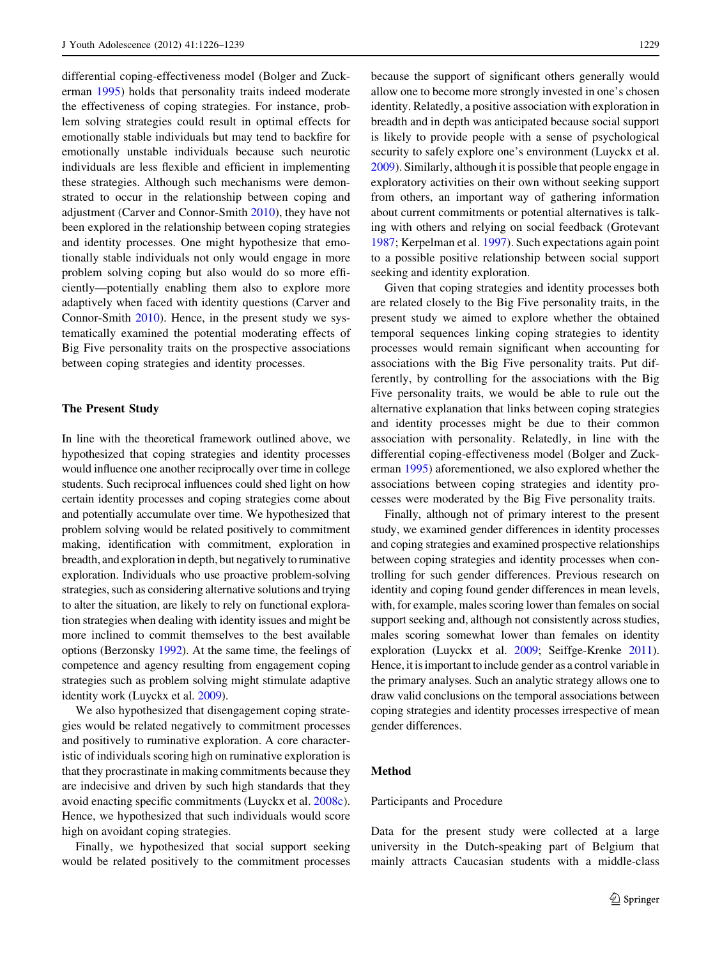differential coping-effectiveness model (Bolger and Zuckerman [1995\)](#page-11-0) holds that personality traits indeed moderate the effectiveness of coping strategies. For instance, problem solving strategies could result in optimal effects for emotionally stable individuals but may tend to backfire for emotionally unstable individuals because such neurotic individuals are less flexible and efficient in implementing these strategies. Although such mechanisms were demonstrated to occur in the relationship between coping and adjustment (Carver and Connor-Smith [2010\)](#page-11-0), they have not been explored in the relationship between coping strategies and identity processes. One might hypothesize that emotionally stable individuals not only would engage in more problem solving coping but also would do so more efficiently—potentially enabling them also to explore more adaptively when faced with identity questions (Carver and Connor-Smith [2010\)](#page-11-0). Hence, in the present study we systematically examined the potential moderating effects of Big Five personality traits on the prospective associations between coping strategies and identity processes.

# The Present Study

In line with the theoretical framework outlined above, we hypothesized that coping strategies and identity processes would influence one another reciprocally over time in college students. Such reciprocal influences could shed light on how certain identity processes and coping strategies come about and potentially accumulate over time. We hypothesized that problem solving would be related positively to commitment making, identification with commitment, exploration in breadth, and exploration in depth, but negatively to ruminative exploration. Individuals who use proactive problem-solving strategies, such as considering alternative solutions and trying to alter the situation, are likely to rely on functional exploration strategies when dealing with identity issues and might be more inclined to commit themselves to the best available options (Berzonsky [1992](#page-11-0)). At the same time, the feelings of competence and agency resulting from engagement coping strategies such as problem solving might stimulate adaptive identity work (Luyckx et al. [2009\)](#page-12-0).

We also hypothesized that disengagement coping strategies would be related negatively to commitment processes and positively to ruminative exploration. A core characteristic of individuals scoring high on ruminative exploration is that they procrastinate in making commitments because they are indecisive and driven by such high standards that they avoid enacting specific commitments (Luyckx et al. [2008c](#page-12-0)). Hence, we hypothesized that such individuals would score high on avoidant coping strategies.

Finally, we hypothesized that social support seeking would be related positively to the commitment processes because the support of significant others generally would allow one to become more strongly invested in one's chosen identity. Relatedly, a positive association with exploration in breadth and in depth was anticipated because social support is likely to provide people with a sense of psychological security to safely explore one's environment (Luyckx et al. [2009](#page-12-0)). Similarly, although it is possible that people engage in exploratory activities on their own without seeking support from others, an important way of gathering information about current commitments or potential alternatives is talking with others and relying on social feedback (Grotevant [1987](#page-11-0); Kerpelman et al. [1997](#page-11-0)). Such expectations again point to a possible positive relationship between social support seeking and identity exploration.

Given that coping strategies and identity processes both are related closely to the Big Five personality traits, in the present study we aimed to explore whether the obtained temporal sequences linking coping strategies to identity processes would remain significant when accounting for associations with the Big Five personality traits. Put differently, by controlling for the associations with the Big Five personality traits, we would be able to rule out the alternative explanation that links between coping strategies and identity processes might be due to their common association with personality. Relatedly, in line with the differential coping-effectiveness model (Bolger and Zuckerman [1995\)](#page-11-0) aforementioned, we also explored whether the associations between coping strategies and identity processes were moderated by the Big Five personality traits.

Finally, although not of primary interest to the present study, we examined gender differences in identity processes and coping strategies and examined prospective relationships between coping strategies and identity processes when controlling for such gender differences. Previous research on identity and coping found gender differences in mean levels, with, for example, males scoring lower than females on social support seeking and, although not consistently across studies, males scoring somewhat lower than females on identity exploration (Luyckx et al. [2009](#page-12-0); Seiffge-Krenke [2011\)](#page-12-0). Hence, it is important to include gender as a control variable in the primary analyses. Such an analytic strategy allows one to draw valid conclusions on the temporal associations between coping strategies and identity processes irrespective of mean gender differences.

# Method

#### Participants and Procedure

Data for the present study were collected at a large university in the Dutch-speaking part of Belgium that mainly attracts Caucasian students with a middle-class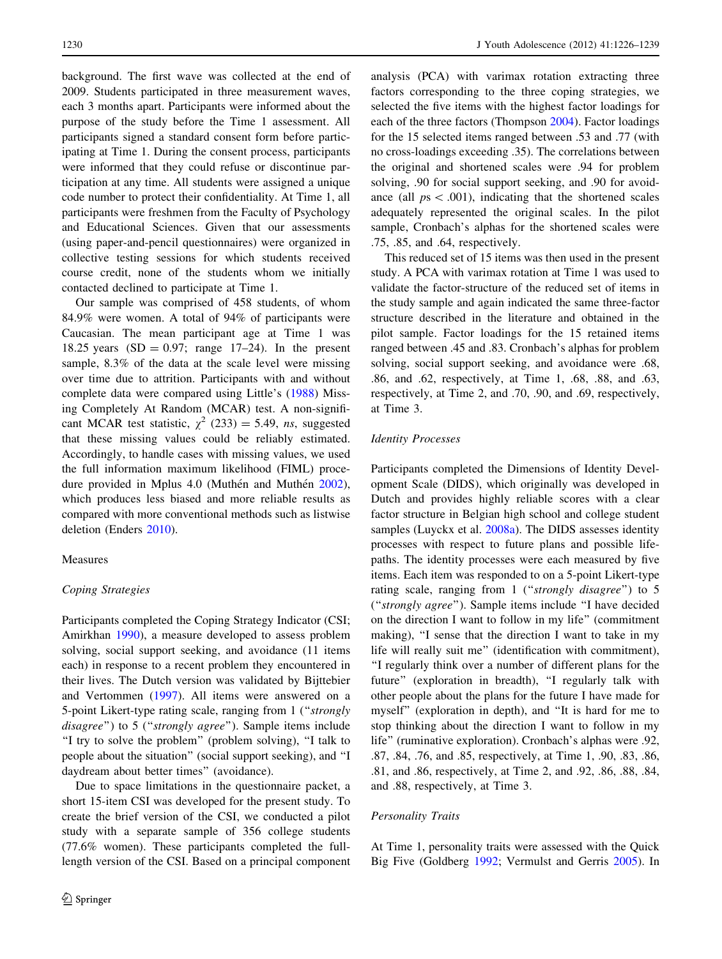background. The first wave was collected at the end of 2009. Students participated in three measurement waves, each 3 months apart. Participants were informed about the purpose of the study before the Time 1 assessment. All participants signed a standard consent form before participating at Time 1. During the consent process, participants were informed that they could refuse or discontinue participation at any time. All students were assigned a unique code number to protect their confidentiality. At Time 1, all participants were freshmen from the Faculty of Psychology and Educational Sciences. Given that our assessments (using paper-and-pencil questionnaires) were organized in collective testing sessions for which students received course credit, none of the students whom we initially contacted declined to participate at Time 1.

Our sample was comprised of 458 students, of whom 84.9% were women. A total of 94% of participants were Caucasian. The mean participant age at Time 1 was 18.25 years  $(SD = 0.97; \text{ range } 17{\text -}24)$ . In the present sample, 8.3% of the data at the scale level were missing over time due to attrition. Participants with and without complete data were compared using Little's ([1988](#page-12-0)) Missing Completely At Random (MCAR) test. A non-significant MCAR test statistic,  $\chi^2$  (233) = 5.49, ns, suggested that these missing values could be reliably estimated. Accordingly, to handle cases with missing values, we used the full information maximum likelihood (FIML) proce-dure provided in Mplus 4.0 (Muthén and Muthén [2002](#page-12-0)), which produces less biased and more reliable results as compared with more conventional methods such as listwise deletion (Enders [2010](#page-11-0)).

# Measures

#### Coping Strategies

Participants completed the Coping Strategy Indicator (CSI; Amirkhan [1990](#page-11-0)), a measure developed to assess problem solving, social support seeking, and avoidance (11 items each) in response to a recent problem they encountered in their lives. The Dutch version was validated by Bijttebier and Vertommen ([1997\)](#page-11-0). All items were answered on a 5-point Likert-type rating scale, ranging from 1 ("strongly disagree") to 5 ("strongly agree"). Sample items include "I try to solve the problem" (problem solving), "I talk to people about the situation'' (social support seeking), and ''I daydream about better times'' (avoidance).

Due to space limitations in the questionnaire packet, a short 15-item CSI was developed for the present study. To create the brief version of the CSI, we conducted a pilot study with a separate sample of 356 college students (77.6% women). These participants completed the fulllength version of the CSI. Based on a principal component

analysis (PCA) with varimax rotation extracting three factors corresponding to the three coping strategies, we selected the five items with the highest factor loadings for each of the three factors (Thompson [2004\)](#page-12-0). Factor loadings for the 15 selected items ranged between .53 and .77 (with no cross-loadings exceeding .35). The correlations between the original and shortened scales were .94 for problem solving, .90 for social support seeking, and .90 for avoidance (all  $ps < .001$ ), indicating that the shortened scales adequately represented the original scales. In the pilot sample, Cronbach's alphas for the shortened scales were .75, .85, and .64, respectively.

This reduced set of 15 items was then used in the present study. A PCA with varimax rotation at Time 1 was used to validate the factor-structure of the reduced set of items in the study sample and again indicated the same three-factor structure described in the literature and obtained in the pilot sample. Factor loadings for the 15 retained items ranged between .45 and .83. Cronbach's alphas for problem solving, social support seeking, and avoidance were .68, .86, and .62, respectively, at Time 1, .68, .88, and .63, respectively, at Time 2, and .70, .90, and .69, respectively, at Time 3.

### Identity Processes

Participants completed the Dimensions of Identity Development Scale (DIDS), which originally was developed in Dutch and provides highly reliable scores with a clear factor structure in Belgian high school and college student samples (Luyckx et al. [2008a](#page-12-0)). The DIDS assesses identity processes with respect to future plans and possible lifepaths. The identity processes were each measured by five items. Each item was responded to on a 5-point Likert-type rating scale, ranging from 1 ("strongly disagree") to 5 (''strongly agree''). Sample items include ''I have decided on the direction I want to follow in my life'' (commitment making), "I sense that the direction I want to take in my life will really suit me'' (identification with commitment), ''I regularly think over a number of different plans for the future" (exploration in breadth), "I regularly talk with other people about the plans for the future I have made for myself'' (exploration in depth), and ''It is hard for me to stop thinking about the direction I want to follow in my life'' (ruminative exploration). Cronbach's alphas were .92, .87, .84, .76, and .85, respectively, at Time 1, .90, .83, .86, .81, and .86, respectively, at Time 2, and .92, .86, .88, .84, and .88, respectively, at Time 3.

# Personality Traits

At Time 1, personality traits were assessed with the Quick Big Five (Goldberg [1992](#page-11-0); Vermulst and Gerris [2005](#page-12-0)). In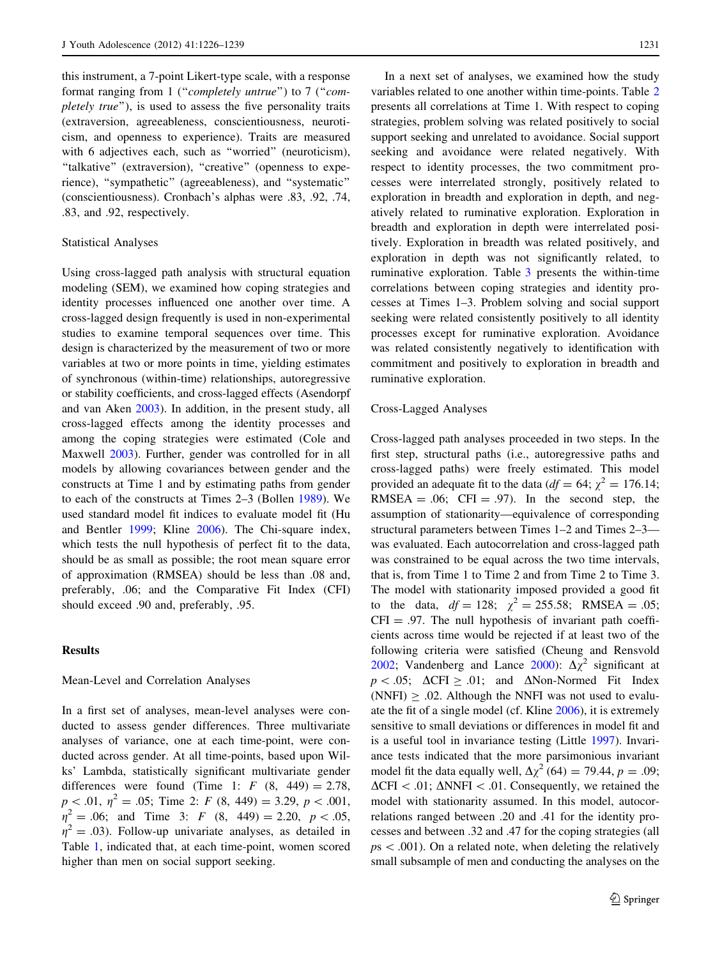this instrument, a 7-point Likert-type scale, with a response format ranging from 1 ("completely untrue") to 7 ("completely true''), is used to assess the five personality traits (extraversion, agreeableness, conscientiousness, neuroticism, and openness to experience). Traits are measured with 6 adjectives each, such as ''worried'' (neuroticism), "talkative" (extraversion), "creative" (openness to experience), ''sympathetic'' (agreeableness), and ''systematic'' (conscientiousness). Cronbach's alphas were .83, .92, .74, .83, and .92, respectively.

# Statistical Analyses

Using cross-lagged path analysis with structural equation modeling (SEM), we examined how coping strategies and identity processes influenced one another over time. A cross-lagged design frequently is used in non-experimental studies to examine temporal sequences over time. This design is characterized by the measurement of two or more variables at two or more points in time, yielding estimates of synchronous (within-time) relationships, autoregressive or stability coefficients, and cross-lagged effects (Asendorpf and van Aken [2003\)](#page-11-0). In addition, in the present study, all cross-lagged effects among the identity processes and among the coping strategies were estimated (Cole and Maxwell [2003\)](#page-11-0). Further, gender was controlled for in all models by allowing covariances between gender and the constructs at Time 1 and by estimating paths from gender to each of the constructs at Times 2–3 (Bollen [1989](#page-11-0)). We used standard model fit indices to evaluate model fit (Hu and Bentler [1999](#page-11-0); Kline [2006](#page-12-0)). The Chi-square index, which tests the null hypothesis of perfect fit to the data, should be as small as possible; the root mean square error of approximation (RMSEA) should be less than .08 and, preferably, .06; and the Comparative Fit Index (CFI) should exceed .90 and, preferably, .95.

#### Results

# Mean-Level and Correlation Analyses

In a first set of analyses, mean-level analyses were conducted to assess gender differences. Three multivariate analyses of variance, one at each time-point, were conducted across gender. At all time-points, based upon Wilks' Lambda, statistically significant multivariate gender differences were found (Time 1:  $F$  (8, 449) = 2.78,  $p$  < .01,  $\eta^2 = .05$ ; Time 2: F (8, 449) = 3.29,  $p$  < .001,  $\eta^2 = .06$ ; and Time 3: F (8, 449) = 2.20, p < .05,  $\eta^2 = .03$ ). Follow-up univariate analyses, as detailed in Table [1](#page-6-0), indicated that, at each time-point, women scored higher than men on social support seeking.

In a next set of analyses, we examined how the study variables related to one another within time-points. Table [2](#page-6-0) presents all correlations at Time 1. With respect to coping strategies, problem solving was related positively to social support seeking and unrelated to avoidance. Social support seeking and avoidance were related negatively. With respect to identity processes, the two commitment processes were interrelated strongly, positively related to exploration in breadth and exploration in depth, and negatively related to ruminative exploration. Exploration in breadth and exploration in depth were interrelated positively. Exploration in breadth was related positively, and exploration in depth was not significantly related, to ruminative exploration. Table [3](#page-7-0) presents the within-time correlations between coping strategies and identity processes at Times 1–3. Problem solving and social support seeking were related consistently positively to all identity processes except for ruminative exploration. Avoidance was related consistently negatively to identification with commitment and positively to exploration in breadth and ruminative exploration.

# Cross-Lagged Analyses

Cross-lagged path analyses proceeded in two steps. In the first step, structural paths (i.e., autoregressive paths and cross-lagged paths) were freely estimated. This model provided an adequate fit to the data ( $df = 64$ ;  $\chi^2 = 176.14$ ; RMSEA =  $.06$ ; CFI =  $.97$ ). In the second step, the assumption of stationarity—equivalence of corresponding structural parameters between Times 1–2 and Times 2–3 was evaluated. Each autocorrelation and cross-lagged path was constrained to be equal across the two time intervals, that is, from Time 1 to Time 2 and from Time 2 to Time 3. The model with stationarity imposed provided a good fit to the data,  $df = 128$ ;  $\chi^2 = 255.58$ ; RMSEA = .05;  $CFI = .97$ . The null hypothesis of invariant path coefficients across time would be rejected if at least two of the following criteria were satisfied (Cheung and Rensvold [2002](#page-11-0); Vandenberg and Lance [2000\)](#page-12-0):  $\Delta \chi^2$  significant at  $p$  < .05;  $\Delta$ CFI  $\ge$  .01; and  $\Delta$ Non-Normed Fit Index (NNFI)  $\geq$  .02. Although the NNFI was not used to evaluate the fit of a single model (cf. Kline [2006\)](#page-12-0), it is extremely sensitive to small deviations or differences in model fit and is a useful tool in invariance testing (Little [1997\)](#page-12-0). Invariance tests indicated that the more parsimonious invariant model fit the data equally well,  $\Delta \chi^2$  (64) = 79.44, p = .09;  $\Delta$ CFI < .01;  $\Delta$ NNFI < .01. Consequently, we retained the model with stationarity assumed. In this model, autocorrelations ranged between .20 and .41 for the identity processes and between .32 and .47 for the coping strategies (all  $ps < .001$ ). On a related note, when deleting the relatively small subsample of men and conducting the analyses on the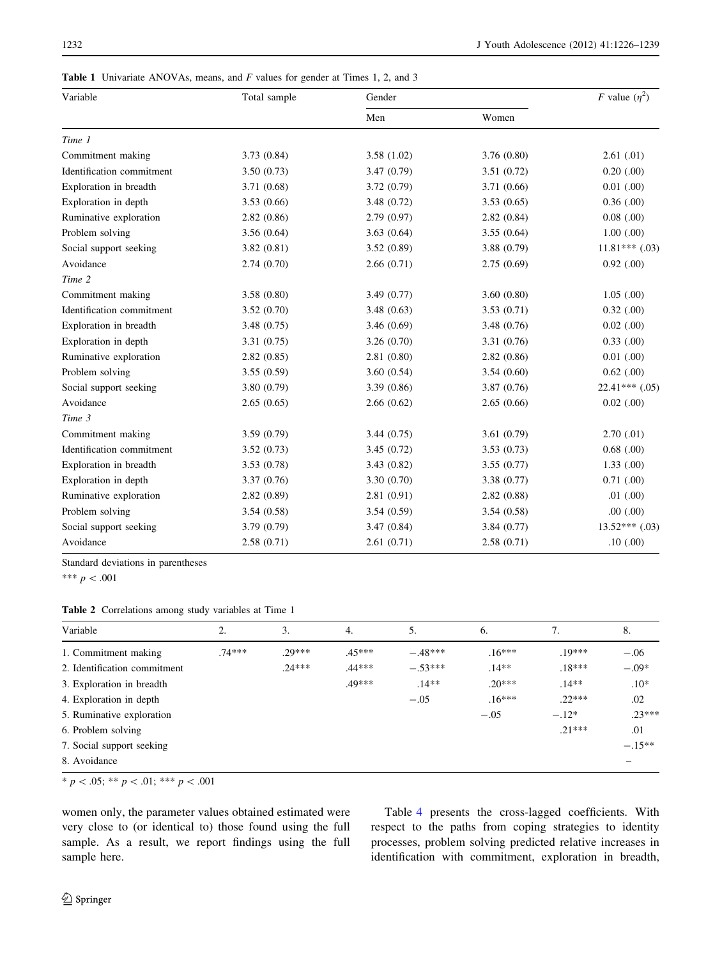<span id="page-6-0"></span>Table 1 Univariate ANOVAs, means, and F values for gender at Times 1, 2, and 3

| Variable                  | Total sample | Gender      | F value $(\eta^2)$ |                  |
|---------------------------|--------------|-------------|--------------------|------------------|
|                           |              | Men         | Women              |                  |
| Time 1                    |              |             |                    |                  |
| Commitment making         | 3.73(0.84)   | 3.58(1.02)  | 3.76 (0.80)        | 2.61(0.01)       |
| Identification commitment | 3.50(0.73)   | 3.47(0.79)  | 3.51(0.72)         | 0.20(0.00)       |
| Exploration in breadth    | 3.71(0.68)   | 3.72(0.79)  | 3.71 (0.66)        | $0.01$ $(.00)$   |
| Exploration in depth      | 3.53(0.66)   | 3.48 (0.72) | 3.53(0.65)         | 0.36(0.00)       |
| Ruminative exploration    | 2.82(0.86)   | 2.79(0.97)  | 2.82(0.84)         | 0.08(0.00)       |
| Problem solving           | 3.56(0.64)   | 3.63(0.64)  | 3.55(0.64)         | 1.00(0.00)       |
| Social support seeking    | 3.82(0.81)   | 3.52(0.89)  | 3.88 (0.79)        | $11.81***$ (.03) |
| Avoidance                 | 2.74(0.70)   | 2.66(0.71)  | 2.75(0.69)         | 0.92(0.00)       |
| Time 2                    |              |             |                    |                  |
| Commitment making         | 3.58(0.80)   | 3.49(0.77)  | 3.60(0.80)         | 1.05(0.00)       |
| Identification commitment | 3.52 (0.70)  | 3.48(0.63)  | 3.53(0.71)         | 0.32(0.00)       |
| Exploration in breadth    | 3.48(0.75)   | 3.46(0.69)  | 3.48 (0.76)        | $0.02$ $(.00)$   |
| Exploration in depth      | 3.31(0.75)   | 3.26(0.70)  | 3.31 (0.76)        | 0.33(0.00)       |
| Ruminative exploration    | 2.82(0.85)   | 2.81(0.80)  | 2.82(0.86)         | $0.01$ $(.00)$   |
| Problem solving           | 3.55(0.59)   | 3.60(0.54)  | 3.54(0.60)         | $0.62$ $(.00)$   |
| Social support seeking    | 3.80(0.79)   | 3.39 (0.86) | 3.87 (0.76)        | $22.41***$ (.05) |
| Avoidance                 | 2.65(0.65)   | 2.66(0.62)  | 2.65(0.66)         | $0.02$ $(.00)$   |
| Time 3                    |              |             |                    |                  |
| Commitment making         | 3.59(0.79)   | 3.44(0.75)  | 3.61(0.79)         | 2.70(0.01)       |
| Identification commitment | 3.52(0.73)   | 3.45(0.72)  | 3.53(0.73)         | 0.68(0.00)       |
| Exploration in breadth    | 3.53(0.78)   | 3.43(0.82)  | 3.55(0.77)         | 1.33(0.00)       |
| Exploration in depth      | 3.37(0.76)   | 3.30(0.70)  | 3.38 (0.77)        | 0.71(0.00)       |
| Ruminative exploration    | 2.82(0.89)   | 2.81(0.91)  | 2.82(0.88)         | $.01$ $(.00)$    |
| Problem solving           | 3.54(0.58)   | 3.54(0.59)  | 3.54(0.58)         | .00(.00)         |
| Social support seeking    | 3.79(0.79)   | 3.47(0.84)  | 3.84(0.77)         | $13.52***$ (.03) |
| Avoidance                 | 2.58(0.71)   | 2.61(0.71)  | 2.58(0.71)         | .10(.00)         |

Standard deviations in parentheses

\*\*\*  $p < .001$ 

Table 2 Correlations among study variables at Time 1

| Variable                     | 2.       | 3.      | 4.       | 5.        | 6.       | 7.       | 8.       |
|------------------------------|----------|---------|----------|-----------|----------|----------|----------|
| 1. Commitment making         | $.74***$ | 29***   | $.45***$ | $-.48***$ | $.16***$ | $.19***$ | $-.06$   |
| 2. Identification commitment |          | $24***$ | $.44***$ | $-.53***$ | $.14**$  | $.18***$ | $-.09*$  |
| 3. Exploration in breadth    |          |         | .49***   | $.14**$   | $.20***$ | $.14**$  | $.10*$   |
| 4. Exploration in depth      |          |         |          | $-.05$    | $.16***$ | $.22***$ | .02      |
| 5. Ruminative exploration    |          |         |          |           | $-.05$   | $-.12*$  | $.23***$ |
| 6. Problem solving           |          |         |          |           |          | $.21***$ | .01      |
| 7. Social support seeking    |          |         |          |           |          |          | $-.15**$ |
| 8. Avoidance                 |          |         |          |           |          |          |          |

\* p < .05; \*\* p < .01; \*\*\* p < .001

women only, the parameter values obtained estimated were very close to (or identical to) those found using the full sample. As a result, we report findings using the full sample here.

Table [4](#page-8-0) presents the cross-lagged coefficients. With respect to the paths from coping strategies to identity processes, problem solving predicted relative increases in identification with commitment, exploration in breadth,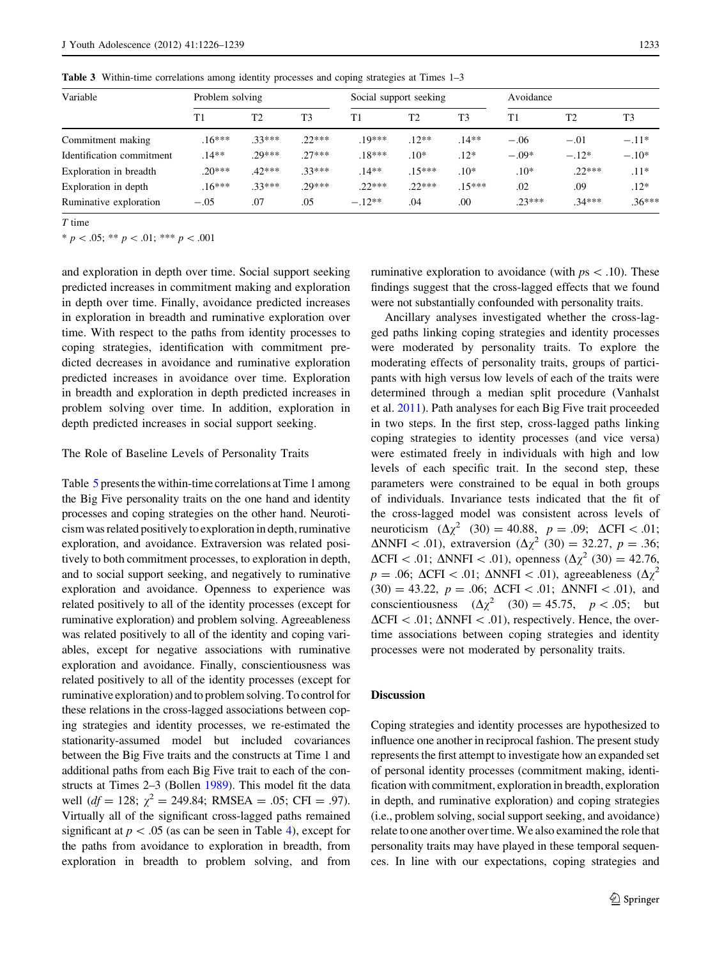| Variable                  | Problem solving |                |                | Social support seeking |         |                | Avoidance |                |                |
|---------------------------|-----------------|----------------|----------------|------------------------|---------|----------------|-----------|----------------|----------------|
|                           | T1              | T <sub>2</sub> | T <sub>3</sub> | T1                     | T2      | T <sub>3</sub> | T1        | T <sub>2</sub> | T <sub>3</sub> |
| Commitment making         | $.16***$        | $.33***$       | $.22***$       | .19***                 | $.12**$ | $.14**$        | $-.06$    | $-.01$         | $-.11*$        |
| Identification commitment | $.14**$         | $.29***$       | $27***$        | $.18***$               | $10*$   | $.12*$         | $-.09*$   | $-.12*$        | $-.10*$        |
| Exploration in breadth    | $.20***$        | $.42***$       | 33***          | $.14**$                | $15***$ | $.10*$         | $.10*$    | $.22***$       | $.11*$         |
| Exploration in depth      | $.16***$        | $.33***$       | 29***          | $22***$                | $22***$ | $.15***$       | .02       | .09            | $.12*$         |
| Ruminative exploration    | $-.05$          | .07            | .05            | $-.12**$               | .04     | .00            | $.23***$  | $.34***$       | $.36***$       |

<span id="page-7-0"></span>Table 3 Within-time correlations among identity processes and coping strategies at Times 1-3

T time

 $* p < .05; ** p < .01; *** p < .001$ 

and exploration in depth over time. Social support seeking predicted increases in commitment making and exploration in depth over time. Finally, avoidance predicted increases in exploration in breadth and ruminative exploration over time. With respect to the paths from identity processes to coping strategies, identification with commitment predicted decreases in avoidance and ruminative exploration predicted increases in avoidance over time. Exploration in breadth and exploration in depth predicted increases in problem solving over time. In addition, exploration in depth predicted increases in social support seeking.

### The Role of Baseline Levels of Personality Traits

Table [5](#page-8-0) presents the within-time correlations at Time 1 among the Big Five personality traits on the one hand and identity processes and coping strategies on the other hand. Neuroticism was related positively to exploration in depth, ruminative exploration, and avoidance. Extraversion was related positively to both commitment processes, to exploration in depth, and to social support seeking, and negatively to ruminative exploration and avoidance. Openness to experience was related positively to all of the identity processes (except for ruminative exploration) and problem solving. Agreeableness was related positively to all of the identity and coping variables, except for negative associations with ruminative exploration and avoidance. Finally, conscientiousness was related positively to all of the identity processes (except for ruminative exploration) and to problem solving. To control for these relations in the cross-lagged associations between coping strategies and identity processes, we re-estimated the stationarity-assumed model but included covariances between the Big Five traits and the constructs at Time 1 and additional paths from each Big Five trait to each of the constructs at Times 2–3 (Bollen [1989](#page-11-0)). This model fit the data well (df = 128;  $\chi^2$  = 249.84; RMSEA = .05; CFI = .97). Virtually all of the significant cross-lagged paths remained significant at  $p < .05$  (as can be seen in Table [4\)](#page-8-0), except for the paths from avoidance to exploration in breadth, from exploration in breadth to problem solving, and from ruminative exploration to avoidance (with  $ps\lt 0.10$ ). These findings suggest that the cross-lagged effects that we found were not substantially confounded with personality traits.

Ancillary analyses investigated whether the cross-lagged paths linking coping strategies and identity processes were moderated by personality traits. To explore the moderating effects of personality traits, groups of participants with high versus low levels of each of the traits were determined through a median split procedure (Vanhalst et al. [2011\)](#page-12-0). Path analyses for each Big Five trait proceeded in two steps. In the first step, cross-lagged paths linking coping strategies to identity processes (and vice versa) were estimated freely in individuals with high and low levels of each specific trait. In the second step, these parameters were constrained to be equal in both groups of individuals. Invariance tests indicated that the fit of the cross-lagged model was consistent across levels of neuroticism  $(\Delta \chi^2 \quad (30) = 40.88, \quad p = .09; \Delta CFI < .01;$  $\triangle NNFI < .01$ , extraversion ( $\Delta \chi^2$  (30) = 32.27, p = .36;  $\Delta$ CFI < .01;  $\Delta$ NNFI < .01), openness ( $\Delta \chi^2$  (30) = 42.76,  $p = .06$ ;  $\Delta$ CFI < .01;  $\Delta$ NNFI < .01), agreeableness ( $\Delta \chi^2$  $(30) = 43.22$ ,  $p = .06$ ;  $\Delta$ CFI < .01;  $\Delta$ NNFI < .01), and conscientiousness  $(\Delta \chi^2 \quad (30) = 45.75, \quad p < .05;$  but  $\Delta$ CFI < .01;  $\Delta$ NNFI < .01), respectively. Hence, the overtime associations between coping strategies and identity processes were not moderated by personality traits.

# Discussion

Coping strategies and identity processes are hypothesized to influence one another in reciprocal fashion. The present study represents the first attempt to investigate how an expanded set of personal identity processes (commitment making, identification with commitment, exploration in breadth, exploration in depth, and ruminative exploration) and coping strategies (i.e., problem solving, social support seeking, and avoidance) relate to one another over time. We also examined the role that personality traits may have played in these temporal sequences. In line with our expectations, coping strategies and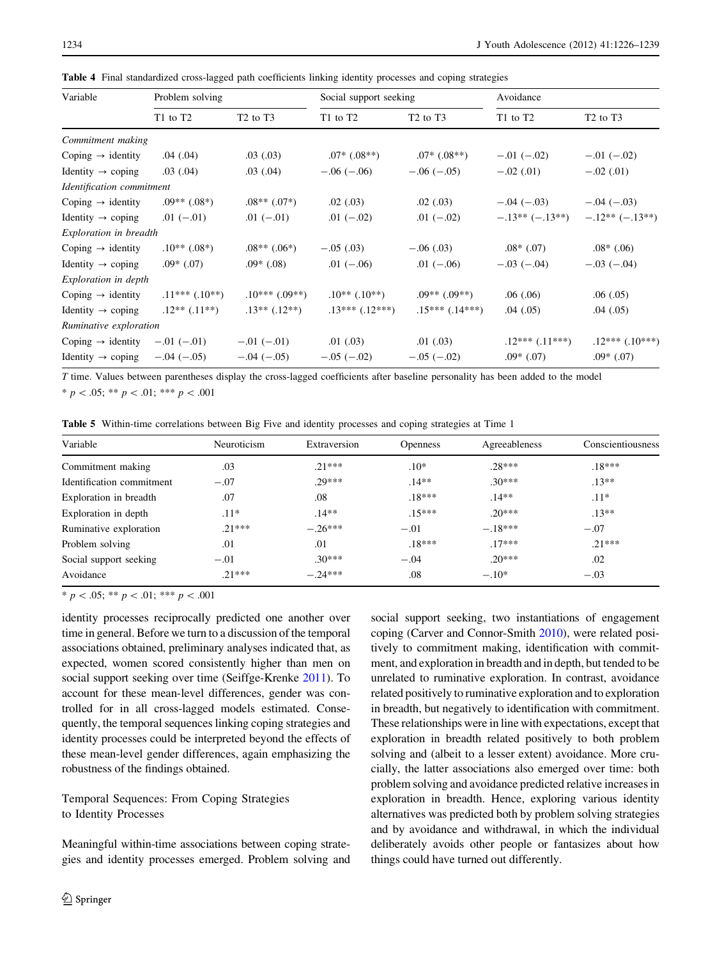| Variable                      | Problem solving  |                                              | Social support seeking |                                  | Avoidance        |                                  |
|-------------------------------|------------------|----------------------------------------------|------------------------|----------------------------------|------------------|----------------------------------|
|                               | T1 to T2         | T <sub>2</sub> to T <sub>3</sub><br>T1 to T2 |                        | T <sub>2</sub> to T <sub>3</sub> | T1 to T2         | T <sub>2</sub> to T <sub>3</sub> |
| Commitment making             |                  |                                              |                        |                                  |                  |                                  |
| Coping $\rightarrow$ identity | .04(.04)         | .03(0.03)                                    | $.07*(.08**)$          | $.07*$ $(.08**)$                 | $-.01 (-.02)$    | $-.01 (-.02)$                    |
| Identity $\rightarrow$ coping | .03(0.04)        | .03(0.04)                                    | $-.06(-.06)$           | $-.06(-.05)$                     | $-.02(.01)$      | $-.02(.01)$                      |
| Identification commitment     |                  |                                              |                        |                                  |                  |                                  |
| Coping $\rightarrow$ identity | $.09**$ $(.08*)$ | $.08**$ $(.07*)$                             | .02(0.03)              | .02(0.03)                        | $-.04 (-03)$     | $-.04 (-03)$                     |
| Identity $\rightarrow$ coping | $.01(-.01)$      | $.01(-.01)$                                  | $.01(-.02)$            | $.01(-.02)$                      | $-.13**(-.13**)$ | $-.12**(-.13**)$                 |
| Exploration in breadth        |                  |                                              |                        |                                  |                  |                                  |
| Coping $\rightarrow$ identity | $.10**$ (.08*)   | $.08**$ $(.06*)$                             | $-.05(.03)$            | $-.06(.03)$                      | $.08*(.07)$      | $.08*(.06)$                      |
| Identity $\rightarrow$ coping | $.09*(.07)$      | $.09*(.08)$                                  | $.01(-.06)$            | $.01(-.06)$                      | $-.03(-.04)$     | $-.03(-.04)$                     |
| Exploration in depth          |                  |                                              |                        |                                  |                  |                                  |
| Coping $\rightarrow$ identity | $.11***(.10**)$  | $.10***$ $(.09**)$                           | $.10**$ $(.10**)$      | $.09**$ $(.09**)$                | .06(.06)         | .06(.05)                         |
| Identity $\rightarrow$ coping | $.12**(.11**)$   | $.13**(.12**)$                               | $.13***$ $(.12***)$    | $.15***$ $(.14***)$              | .04(0.05)        | .04(0.05)                        |
| Ruminative exploration        |                  |                                              |                        |                                  |                  |                                  |
| Coping $\rightarrow$ identity | $-.01(-.01)$     | $-.01(-.01)$                                 | .01(0.03)              | .01(.03)                         | $.12***(.11***)$ | $.12***(.10***)$                 |
| Identity $\rightarrow$ coping | $-.04 (-.05)$    | $-.04 (-0.05)$                               | $-.05(-.02)$           | $-.05(-.02)$                     | $.09*(.07)$      | $.09*(.07)$                      |

<span id="page-8-0"></span>Table 4 Final standardized cross-lagged path coefficients linking identity processes and coping strategies

T time. Values between parentheses display the cross-lagged coefficients after baseline personality has been added to the model  $* p < .05; ** p < .01; ** * p < .001$ 

Table 5 Within-time correlations between Big Five and identity processes and coping strategies at Time 1

| Variable                  | Neuroticism | Extraversion | <b>Openness</b> | Agreeableness | Conscientiousness |
|---------------------------|-------------|--------------|-----------------|---------------|-------------------|
| Commitment making         | .03         | $21***$      | $.10*$          | $28***$       | $.18***$          |
| Identification commitment | $-.07$      | $29***$      | $.14**$         | $.30***$      | $.13**$           |
| Exploration in breadth    | .07         | .08          | $.18***$        | $.14**$       | $.11*$            |
| Exploration in depth      | $.11*$      | $.14**$      | $.15***$        | $20***$       | $.13**$           |
| Ruminative exploration    | $.21***$    | $-.26***$    | $-.01$          | $-.18***$     | $-.07$            |
| Problem solving           | .01         | .01          | $.18***$        | $.17***$      | $.21***$          |
| Social support seeking    | $-.01$      | $.30***$     | $-.04$          | $.20***$      | .02               |
| Avoidance                 | $.21***$    | $-.24***$    | .08             | $-.10*$       | $-.03$            |

\* p < .05; \*\* p < .01; \*\*\* p < .001

identity processes reciprocally predicted one another over time in general. Before we turn to a discussion of the temporal associations obtained, preliminary analyses indicated that, as expected, women scored consistently higher than men on social support seeking over time (Seiffge-Krenke [2011](#page-12-0)). To account for these mean-level differences, gender was controlled for in all cross-lagged models estimated. Consequently, the temporal sequences linking coping strategies and identity processes could be interpreted beyond the effects of these mean-level gender differences, again emphasizing the robustness of the findings obtained.

# Temporal Sequences: From Coping Strategies to Identity Processes

Meaningful within-time associations between coping strategies and identity processes emerged. Problem solving and social support seeking, two instantiations of engagement coping (Carver and Connor-Smith [2010](#page-11-0)), were related positively to commitment making, identification with commitment, and exploration in breadth and in depth, but tended to be unrelated to ruminative exploration. In contrast, avoidance related positively to ruminative exploration and to exploration in breadth, but negatively to identification with commitment. These relationships were in line with expectations, except that exploration in breadth related positively to both problem solving and (albeit to a lesser extent) avoidance. More crucially, the latter associations also emerged over time: both problem solving and avoidance predicted relative increases in exploration in breadth. Hence, exploring various identity alternatives was predicted both by problem solving strategies and by avoidance and withdrawal, in which the individual deliberately avoids other people or fantasizes about how things could have turned out differently.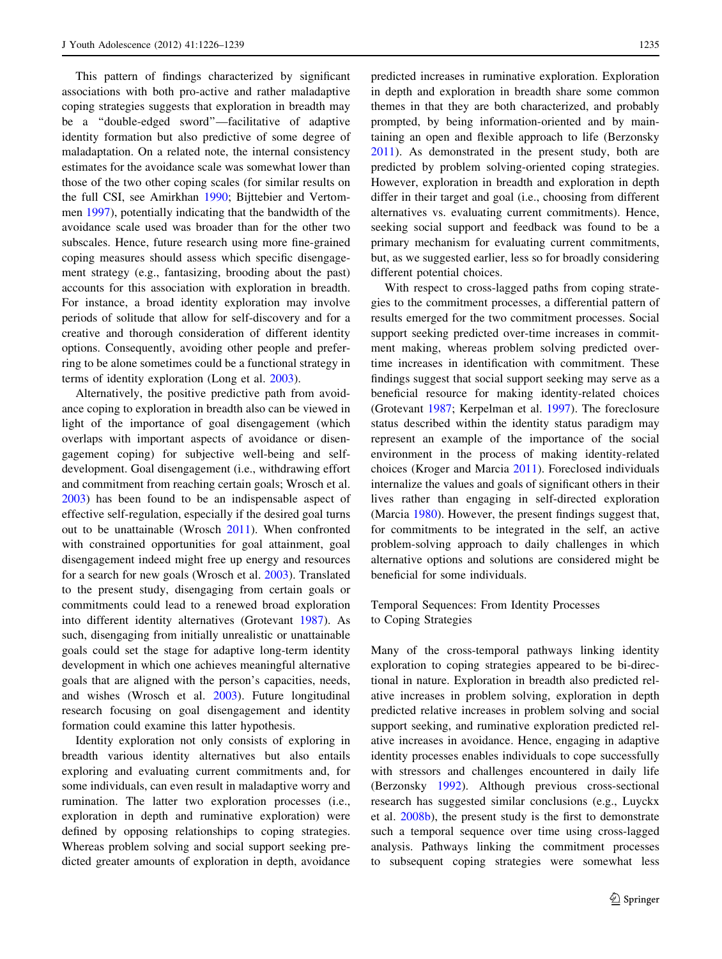This pattern of findings characterized by significant associations with both pro-active and rather maladaptive coping strategies suggests that exploration in breadth may be a ''double-edged sword''—facilitative of adaptive identity formation but also predictive of some degree of maladaptation. On a related note, the internal consistency estimates for the avoidance scale was somewhat lower than those of the two other coping scales (for similar results on the full CSI, see Amirkhan [1990](#page-11-0); Bijttebier and Vertommen [1997\)](#page-11-0), potentially indicating that the bandwidth of the avoidance scale used was broader than for the other two subscales. Hence, future research using more fine-grained coping measures should assess which specific disengagement strategy (e.g., fantasizing, brooding about the past) accounts for this association with exploration in breadth. For instance, a broad identity exploration may involve periods of solitude that allow for self-discovery and for a creative and thorough consideration of different identity options. Consequently, avoiding other people and preferring to be alone sometimes could be a functional strategy in terms of identity exploration (Long et al. [2003\)](#page-12-0).

Alternatively, the positive predictive path from avoidance coping to exploration in breadth also can be viewed in light of the importance of goal disengagement (which overlaps with important aspects of avoidance or disengagement coping) for subjective well-being and selfdevelopment. Goal disengagement (i.e., withdrawing effort and commitment from reaching certain goals; Wrosch et al. [2003\)](#page-13-0) has been found to be an indispensable aspect of effective self-regulation, especially if the desired goal turns out to be unattainable (Wrosch [2011](#page-13-0)). When confronted with constrained opportunities for goal attainment, goal disengagement indeed might free up energy and resources for a search for new goals (Wrosch et al. [2003](#page-13-0)). Translated to the present study, disengaging from certain goals or commitments could lead to a renewed broad exploration into different identity alternatives (Grotevant [1987](#page-11-0)). As such, disengaging from initially unrealistic or unattainable goals could set the stage for adaptive long-term identity development in which one achieves meaningful alternative goals that are aligned with the person's capacities, needs, and wishes (Wrosch et al. [2003\)](#page-13-0). Future longitudinal research focusing on goal disengagement and identity formation could examine this latter hypothesis.

Identity exploration not only consists of exploring in breadth various identity alternatives but also entails exploring and evaluating current commitments and, for some individuals, can even result in maladaptive worry and rumination. The latter two exploration processes (i.e., exploration in depth and ruminative exploration) were defined by opposing relationships to coping strategies. Whereas problem solving and social support seeking predicted greater amounts of exploration in depth, avoidance predicted increases in ruminative exploration. Exploration in depth and exploration in breadth share some common themes in that they are both characterized, and probably prompted, by being information-oriented and by maintaining an open and flexible approach to life (Berzonsky [2011](#page-11-0)). As demonstrated in the present study, both are predicted by problem solving-oriented coping strategies. However, exploration in breadth and exploration in depth differ in their target and goal (i.e., choosing from different alternatives vs. evaluating current commitments). Hence, seeking social support and feedback was found to be a primary mechanism for evaluating current commitments, but, as we suggested earlier, less so for broadly considering different potential choices.

With respect to cross-lagged paths from coping strategies to the commitment processes, a differential pattern of results emerged for the two commitment processes. Social support seeking predicted over-time increases in commitment making, whereas problem solving predicted overtime increases in identification with commitment. These findings suggest that social support seeking may serve as a beneficial resource for making identity-related choices (Grotevant [1987;](#page-11-0) Kerpelman et al. [1997\)](#page-11-0). The foreclosure status described within the identity status paradigm may represent an example of the importance of the social environment in the process of making identity-related choices (Kroger and Marcia [2011\)](#page-12-0). Foreclosed individuals internalize the values and goals of significant others in their lives rather than engaging in self-directed exploration (Marcia [1980\)](#page-12-0). However, the present findings suggest that, for commitments to be integrated in the self, an active problem-solving approach to daily challenges in which alternative options and solutions are considered might be beneficial for some individuals.

# Temporal Sequences: From Identity Processes to Coping Strategies

Many of the cross-temporal pathways linking identity exploration to coping strategies appeared to be bi-directional in nature. Exploration in breadth also predicted relative increases in problem solving, exploration in depth predicted relative increases in problem solving and social support seeking, and ruminative exploration predicted relative increases in avoidance. Hence, engaging in adaptive identity processes enables individuals to cope successfully with stressors and challenges encountered in daily life (Berzonsky [1992\)](#page-11-0). Although previous cross-sectional research has suggested similar conclusions (e.g., Luyckx et al. [2008b](#page-12-0)), the present study is the first to demonstrate such a temporal sequence over time using cross-lagged analysis. Pathways linking the commitment processes to subsequent coping strategies were somewhat less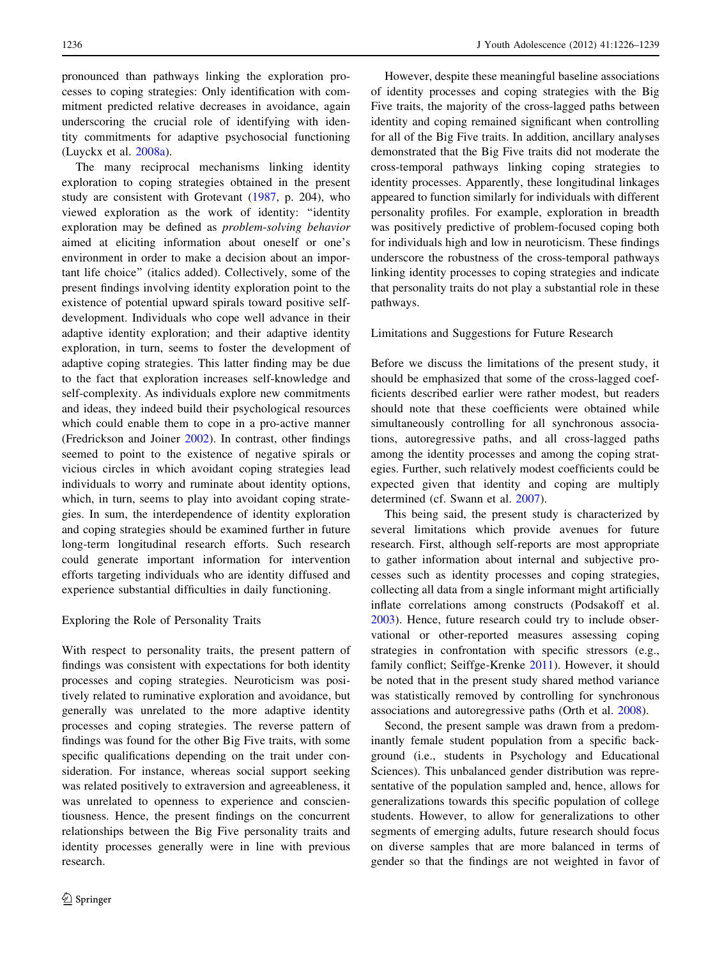pronounced than pathways linking the exploration processes to coping strategies: Only identification with commitment predicted relative decreases in avoidance, again underscoring the crucial role of identifying with identity commitments for adaptive psychosocial functioning (Luyckx et al. [2008a](#page-12-0)).

The many reciprocal mechanisms linking identity exploration to coping strategies obtained in the present study are consistent with Grotevant [\(1987](#page-11-0), p. 204), who viewed exploration as the work of identity: ''identity exploration may be defined as problem-solving behavior aimed at eliciting information about oneself or one's environment in order to make a decision about an important life choice'' (italics added). Collectively, some of the present findings involving identity exploration point to the existence of potential upward spirals toward positive selfdevelopment. Individuals who cope well advance in their adaptive identity exploration; and their adaptive identity exploration, in turn, seems to foster the development of adaptive coping strategies. This latter finding may be due to the fact that exploration increases self-knowledge and self-complexity. As individuals explore new commitments and ideas, they indeed build their psychological resources which could enable them to cope in a pro-active manner (Fredrickson and Joiner [2002\)](#page-11-0). In contrast, other findings seemed to point to the existence of negative spirals or vicious circles in which avoidant coping strategies lead individuals to worry and ruminate about identity options, which, in turn, seems to play into avoidant coping strategies. In sum, the interdependence of identity exploration and coping strategies should be examined further in future long-term longitudinal research efforts. Such research could generate important information for intervention efforts targeting individuals who are identity diffused and experience substantial difficulties in daily functioning.

# Exploring the Role of Personality Traits

With respect to personality traits, the present pattern of findings was consistent with expectations for both identity processes and coping strategies. Neuroticism was positively related to ruminative exploration and avoidance, but generally was unrelated to the more adaptive identity processes and coping strategies. The reverse pattern of findings was found for the other Big Five traits, with some specific qualifications depending on the trait under consideration. For instance, whereas social support seeking was related positively to extraversion and agreeableness, it was unrelated to openness to experience and conscientiousness. Hence, the present findings on the concurrent relationships between the Big Five personality traits and identity processes generally were in line with previous research.

However, despite these meaningful baseline associations of identity processes and coping strategies with the Big Five traits, the majority of the cross-lagged paths between identity and coping remained significant when controlling for all of the Big Five traits. In addition, ancillary analyses demonstrated that the Big Five traits did not moderate the cross-temporal pathways linking coping strategies to identity processes. Apparently, these longitudinal linkages appeared to function similarly for individuals with different personality profiles. For example, exploration in breadth was positively predictive of problem-focused coping both for individuals high and low in neuroticism. These findings underscore the robustness of the cross-temporal pathways linking identity processes to coping strategies and indicate that personality traits do not play a substantial role in these pathways.

# Limitations and Suggestions for Future Research

Before we discuss the limitations of the present study, it should be emphasized that some of the cross-lagged coefficients described earlier were rather modest, but readers should note that these coefficients were obtained while simultaneously controlling for all synchronous associations, autoregressive paths, and all cross-lagged paths among the identity processes and among the coping strategies. Further, such relatively modest coefficients could be expected given that identity and coping are multiply determined (cf. Swann et al. [2007\)](#page-12-0).

This being said, the present study is characterized by several limitations which provide avenues for future research. First, although self-reports are most appropriate to gather information about internal and subjective processes such as identity processes and coping strategies, collecting all data from a single informant might artificially inflate correlations among constructs (Podsakoff et al. [2003](#page-12-0)). Hence, future research could try to include observational or other-reported measures assessing coping strategies in confrontation with specific stressors (e.g., family conflict; Seiffge-Krenke [2011\)](#page-12-0). However, it should be noted that in the present study shared method variance was statistically removed by controlling for synchronous associations and autoregressive paths (Orth et al. [2008\)](#page-12-0).

Second, the present sample was drawn from a predominantly female student population from a specific background (i.e., students in Psychology and Educational Sciences). This unbalanced gender distribution was representative of the population sampled and, hence, allows for generalizations towards this specific population of college students. However, to allow for generalizations to other segments of emerging adults, future research should focus on diverse samples that are more balanced in terms of gender so that the findings are not weighted in favor of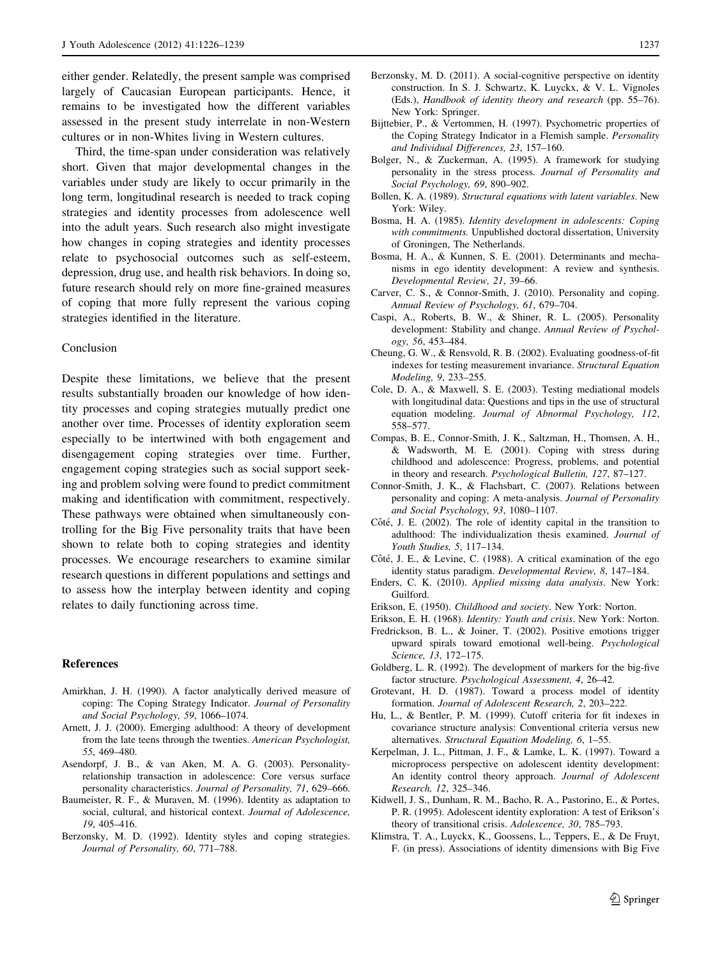<span id="page-11-0"></span>either gender. Relatedly, the present sample was comprised largely of Caucasian European participants. Hence, it remains to be investigated how the different variables assessed in the present study interrelate in non-Western cultures or in non-Whites living in Western cultures.

Third, the time-span under consideration was relatively short. Given that major developmental changes in the variables under study are likely to occur primarily in the long term, longitudinal research is needed to track coping strategies and identity processes from adolescence well into the adult years. Such research also might investigate how changes in coping strategies and identity processes relate to psychosocial outcomes such as self-esteem, depression, drug use, and health risk behaviors. In doing so, future research should rely on more fine-grained measures of coping that more fully represent the various coping strategies identified in the literature.

### Conclusion

Despite these limitations, we believe that the present results substantially broaden our knowledge of how identity processes and coping strategies mutually predict one another over time. Processes of identity exploration seem especially to be intertwined with both engagement and disengagement coping strategies over time. Further, engagement coping strategies such as social support seeking and problem solving were found to predict commitment making and identification with commitment, respectively. These pathways were obtained when simultaneously controlling for the Big Five personality traits that have been shown to relate both to coping strategies and identity processes. We encourage researchers to examine similar research questions in different populations and settings and to assess how the interplay between identity and coping relates to daily functioning across time.

#### References

- Amirkhan, J. H. (1990). A factor analytically derived measure of coping: The Coping Strategy Indicator. Journal of Personality and Social Psychology, 59, 1066–1074.
- Arnett, J. J. (2000). Emerging adulthood: A theory of development from the late teens through the twenties. American Psychologist, 55, 469–480.
- Asendorpf, J. B., & van Aken, M. A. G. (2003). Personalityrelationship transaction in adolescence: Core versus surface personality characteristics. Journal of Personality, 71, 629–666.
- Baumeister, R. F., & Muraven, M. (1996). Identity as adaptation to social, cultural, and historical context. Journal of Adolescence, 19, 405–416.
- Berzonsky, M. D. (1992). Identity styles and coping strategies. Journal of Personality, 60, 771–788.
- Berzonsky, M. D. (2011). A social-cognitive perspective on identity construction. In S. J. Schwartz, K. Luyckx, & V. L. Vignoles (Eds.), Handbook of identity theory and research (pp. 55–76). New York: Springer.
- Bijttebier, P., & Vertommen, H. (1997). Psychometric properties of the Coping Strategy Indicator in a Flemish sample. Personality and Individual Differences, 23, 157–160.
- Bolger, N., & Zuckerman, A. (1995). A framework for studying personality in the stress process. Journal of Personality and Social Psychology, 69, 890–902.
- Bollen, K. A. (1989). Structural equations with latent variables. New York: Wiley.
- Bosma, H. A. (1985). Identity development in adolescents: Coping with commitments. Unpublished doctoral dissertation, University of Groningen, The Netherlands.
- Bosma, H. A., & Kunnen, S. E. (2001). Determinants and mechanisms in ego identity development: A review and synthesis. Developmental Review, 21, 39–66.
- Carver, C. S., & Connor-Smith, J. (2010). Personality and coping. Annual Review of Psychology, 61, 679–704.
- Caspi, A., Roberts, B. W., & Shiner, R. L. (2005). Personality development: Stability and change. Annual Review of Psychology, 56, 453–484.
- Cheung, G. W., & Rensvold, R. B. (2002). Evaluating goodness-of-fit indexes for testing measurement invariance. Structural Equation Modeling, 9, 233–255.
- Cole, D. A., & Maxwell, S. E. (2003). Testing mediational models with longitudinal data: Questions and tips in the use of structural equation modeling. Journal of Abnormal Psychology, 112, 558–577.
- Compas, B. E., Connor-Smith, J. K., Saltzman, H., Thomsen, A. H., & Wadsworth, M. E. (2001). Coping with stress during childhood and adolescence: Progress, problems, and potential in theory and research. Psychological Bulletin, 127, 87–127.
- Connor-Smith, J. K., & Flachsbart, C. (2007). Relations between personality and coping: A meta-analysis. Journal of Personality and Social Psychology, 93, 1080–1107.
- Côté, J. E. (2002). The role of identity capital in the transition to adulthood: The individualization thesis examined. Journal of Youth Studies, 5, 117–134.
- Côté, J. E., & Levine, C. (1988). A critical examination of the ego identity status paradigm. Developmental Review, 8, 147–184.
- Enders, C. K. (2010). Applied missing data analysis. New York: Guilford.
- Erikson, E. (1950). Childhood and society. New York: Norton.
- Erikson, E. H. (1968). Identity: Youth and crisis. New York: Norton.
- Fredrickson, B. L., & Joiner, T. (2002). Positive emotions trigger upward spirals toward emotional well-being. Psychological Science, 13, 172–175.
- Goldberg, L. R. (1992). The development of markers for the big-five factor structure. Psychological Assessment, 4, 26–42.
- Grotevant, H. D. (1987). Toward a process model of identity formation. Journal of Adolescent Research, 2, 203–222.
- Hu, L., & Bentler, P. M. (1999). Cutoff criteria for fit indexes in covariance structure analysis: Conventional criteria versus new alternatives. Structural Equation Modeling, 6, 1–55.
- Kerpelman, J. L., Pittman, J. F., & Lamke, L. K. (1997). Toward a microprocess perspective on adolescent identity development: An identity control theory approach. Journal of Adolescent Research, 12, 325–346.
- Kidwell, J. S., Dunham, R. M., Bacho, R. A., Pastorino, E., & Portes, P. R. (1995). Adolescent identity exploration: A test of Erikson's theory of transitional crisis. Adolescence, 30, 785–793.
- Klimstra, T. A., Luyckx, K., Goossens, L., Teppers, E., & De Fruyt, F. (in press). Associations of identity dimensions with Big Five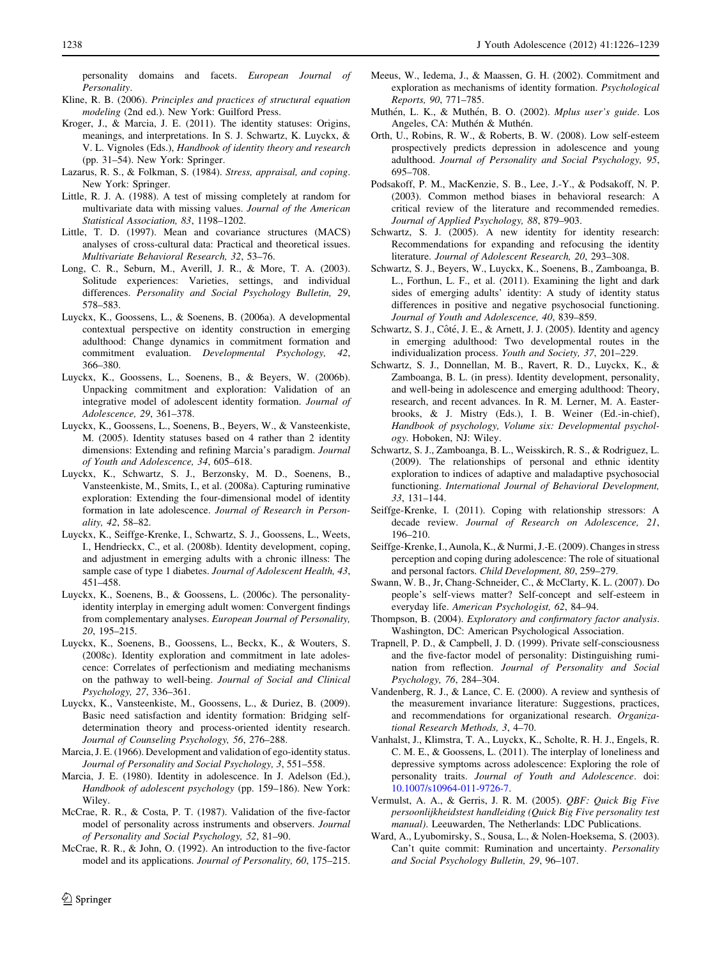<span id="page-12-0"></span>personality domains and facets. European Journal of Personality.

- Kline, R. B. (2006). Principles and practices of structural equation modeling (2nd ed.). New York: Guilford Press.
- Kroger, J., & Marcia, J. E. (2011). The identity statuses: Origins, meanings, and interpretations. In S. J. Schwartz, K. Luyckx, & V. L. Vignoles (Eds.), Handbook of identity theory and research (pp. 31–54). New York: Springer.
- Lazarus, R. S., & Folkman, S. (1984). Stress, appraisal, and coping. New York: Springer.
- Little, R. J. A. (1988). A test of missing completely at random for multivariate data with missing values. Journal of the American Statistical Association, 83, 1198–1202.
- Little, T. D. (1997). Mean and covariance structures (MACS) analyses of cross-cultural data: Practical and theoretical issues. Multivariate Behavioral Research, 32, 53–76.
- Long, C. R., Seburn, M., Averill, J. R., & More, T. A. (2003). Solitude experiences: Varieties, settings, and individual differences. Personality and Social Psychology Bulletin, 29, 578–583.
- Luyckx, K., Goossens, L., & Soenens, B. (2006a). A developmental contextual perspective on identity construction in emerging adulthood: Change dynamics in commitment formation and commitment evaluation. Developmental Psychology, 42, 366–380.
- Luyckx, K., Goossens, L., Soenens, B., & Beyers, W. (2006b). Unpacking commitment and exploration: Validation of an integrative model of adolescent identity formation. Journal of Adolescence, 29, 361–378.
- Luyckx, K., Goossens, L., Soenens, B., Beyers, W., & Vansteenkiste, M. (2005). Identity statuses based on 4 rather than 2 identity dimensions: Extending and refining Marcia's paradigm. Journal of Youth and Adolescence, 34, 605–618.
- Luyckx, K., Schwartz, S. J., Berzonsky, M. D., Soenens, B., Vansteenkiste, M., Smits, I., et al. (2008a). Capturing ruminative exploration: Extending the four-dimensional model of identity formation in late adolescence. Journal of Research in Personality, 42, 58–82.
- Luyckx, K., Seiffge-Krenke, I., Schwartz, S. J., Goossens, L., Weets, I., Hendrieckx, C., et al. (2008b). Identity development, coping, and adjustment in emerging adults with a chronic illness: The sample case of type 1 diabetes. Journal of Adolescent Health, 43, 451–458.
- Luyckx, K., Soenens, B., & Goossens, L. (2006c). The personalityidentity interplay in emerging adult women: Convergent findings from complementary analyses. European Journal of Personality, 20, 195–215.
- Luyckx, K., Soenens, B., Goossens, L., Beckx, K., & Wouters, S. (2008c). Identity exploration and commitment in late adolescence: Correlates of perfectionism and mediating mechanisms on the pathway to well-being. Journal of Social and Clinical Psychology, 27, 336–361.
- Luyckx, K., Vansteenkiste, M., Goossens, L., & Duriez, B. (2009). Basic need satisfaction and identity formation: Bridging selfdetermination theory and process-oriented identity research. Journal of Counseling Psychology, 56, 276–288.
- Marcia, J. E. (1966). Development and validation of ego-identity status. Journal of Personality and Social Psychology, 3, 551–558.
- Marcia, J. E. (1980). Identity in adolescence. In J. Adelson (Ed.), Handbook of adolescent psychology (pp. 159–186). New York: Wiley.
- McCrae, R. R., & Costa, P. T. (1987). Validation of the five-factor model of personality across instruments and observers. Journal of Personality and Social Psychology, 52, 81–90.
- McCrae, R. R., & John, O. (1992). An introduction to the five-factor model and its applications. Journal of Personality, 60, 175–215.
- Meeus, W., Iedema, J., & Maassen, G. H. (2002). Commitment and exploration as mechanisms of identity formation. Psychological Reports, 90, 771–785.
- Muthén, L. K., & Muthén, B. O. (2002). Mplus user's guide. Los Angeles, CA: Muthén & Muthén.
- Orth, U., Robins, R. W., & Roberts, B. W. (2008). Low self-esteem prospectively predicts depression in adolescence and young adulthood. Journal of Personality and Social Psychology, 95, 695–708.
- Podsakoff, P. M., MacKenzie, S. B., Lee, J.-Y., & Podsakoff, N. P. (2003). Common method biases in behavioral research: A critical review of the literature and recommended remedies. Journal of Applied Psychology, 88, 879–903.
- Schwartz, S. J. (2005). A new identity for identity research: Recommendations for expanding and refocusing the identity literature. Journal of Adolescent Research, 20, 293–308.
- Schwartz, S. J., Beyers, W., Luyckx, K., Soenens, B., Zamboanga, B. L., Forthun, L. F., et al. (2011). Examining the light and dark sides of emerging adults' identity: A study of identity status differences in positive and negative psychosocial functioning. Journal of Youth and Adolescence, 40, 839–859.
- Schwartz, S. J., Côté, J. E., & Arnett, J. J. (2005). Identity and agency in emerging adulthood: Two developmental routes in the individualization process. Youth and Society, 37, 201–229.
- Schwartz, S. J., Donnellan, M. B., Ravert, R. D., Luyckx, K., & Zamboanga, B. L. (in press). Identity development, personality, and well-being in adolescence and emerging adulthood: Theory, research, and recent advances. In R. M. Lerner, M. A. Easterbrooks, & J. Mistry (Eds.), I. B. Weiner (Ed.-in-chief), Handbook of psychology, Volume six: Developmental psychology. Hoboken, NJ: Wiley.
- Schwartz, S. J., Zamboanga, B. L., Weisskirch, R. S., & Rodriguez, L. (2009). The relationships of personal and ethnic identity exploration to indices of adaptive and maladaptive psychosocial functioning. International Journal of Behavioral Development, 33, 131–144.
- Seiffge-Krenke, I. (2011). Coping with relationship stressors: A decade review. Journal of Research on Adolescence, 21, 196–210.
- Seiffge-Krenke, I., Aunola, K., & Nurmi, J.-E. (2009). Changes in stress perception and coping during adolescence: The role of situational and personal factors. Child Development, 80, 259–279.
- Swann, W. B., Jr, Chang-Schneider, C., & McClarty, K. L. (2007). Do people's self-views matter? Self-concept and self-esteem in everyday life. American Psychologist, 62, 84–94.
- Thompson, B. (2004). Exploratory and confirmatory factor analysis. Washington, DC: American Psychological Association.
- Trapnell, P. D., & Campbell, J. D. (1999). Private self-consciousness and the five-factor model of personality: Distinguishing rumination from reflection. Journal of Personality and Social Psychology, 76, 284–304.
- Vandenberg, R. J., & Lance, C. E. (2000). A review and synthesis of the measurement invariance literature: Suggestions, practices, and recommendations for organizational research. Organizational Research Methods, 3, 4–70.
- Vanhalst, J., Klimstra, T. A., Luyckx, K., Scholte, R. H. J., Engels, R. C. M. E., & Goossens, L. (2011). The interplay of loneliness and depressive symptoms across adolescence: Exploring the role of personality traits. Journal of Youth and Adolescence. doi: [10.1007/s10964-011-9726-7.](http://dx.doi.org/10.1007/s10964-011-9726-7)
- Vermulst, A. A., & Gerris, J. R. M. (2005). QBF: Quick Big Five persoonlijkheidstest handleiding (Quick Big Five personality test manual). Leeuwarden, The Netherlands: LDC Publications.
- Ward, A., Lyubomirsky, S., Sousa, L., & Nolen-Hoeksema, S. (2003). Can't quite commit: Rumination and uncertainty. Personality and Social Psychology Bulletin, 29, 96–107.